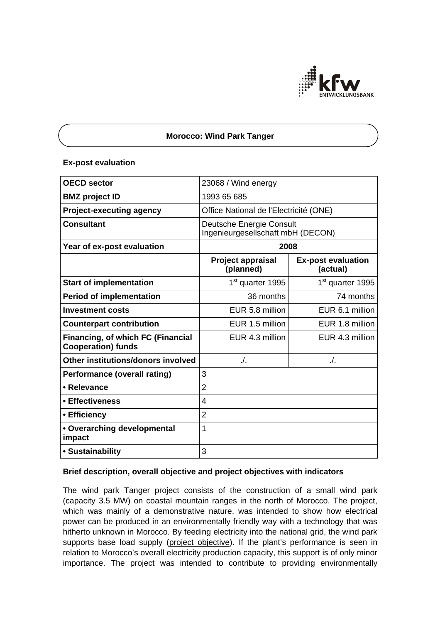

# **Morocco: Wind Park Tanger**

## **Ex-post evaluation**

| <b>OECD</b> sector                                                    | 23068 / Wind energy                                           |                                       |
|-----------------------------------------------------------------------|---------------------------------------------------------------|---------------------------------------|
| <b>BMZ</b> project ID                                                 | 1993 65 685                                                   |                                       |
| <b>Project-executing agency</b>                                       | Office National de l'Electricité (ONE)                        |                                       |
| <b>Consultant</b>                                                     | Deutsche Energie Consult<br>Ingenieurgesellschaft mbH (DECON) |                                       |
| Year of ex-post evaluation                                            | 2008                                                          |                                       |
|                                                                       | <b>Project appraisal</b><br>(planned)                         | <b>Ex-post evaluation</b><br>(actual) |
| <b>Start of implementation</b>                                        | 1 <sup>st</sup> quarter 1995                                  | 1 <sup>st</sup> quarter 1995          |
| <b>Period of implementation</b>                                       | 36 months                                                     | 74 months                             |
| <b>Investment costs</b>                                               | EUR 5.8 million                                               | EUR 6.1 million                       |
| <b>Counterpart contribution</b>                                       | EUR 1.5 million                                               | EUR 1.8 million                       |
| <b>Financing, of which FC (Financial</b><br><b>Cooperation) funds</b> | EUR 4.3 million                                               | EUR 4.3 million                       |
| Other institutions/donors involved                                    | ./.                                                           | ./.                                   |
| <b>Performance (overall rating)</b>                                   | 3                                                             |                                       |
| • Relevance                                                           | $\overline{2}$                                                |                                       |
| • Effectiveness                                                       | $\overline{4}$                                                |                                       |
| • Efficiency                                                          | $\overline{2}$                                                |                                       |
| • Overarching developmental<br>impact                                 | 1                                                             |                                       |
| • Sustainability                                                      | 3                                                             |                                       |

# **Brief description, overall objective and project objectives with indicators**

The wind park Tanger project consists of the construction of a small wind park (capacity 3.5 MW) on coastal mountain ranges in the north of Morocco. The project, which was mainly of a demonstrative nature, was intended to show how electrical power can be produced in an environmentally friendly way with a technology that was hitherto unknown in Morocco. By feeding electricity into the national grid, the wind park supports base load supply (project objective). If the plant's performance is seen in relation to Morocco's overall electricity production capacity, this support is of only minor importance. The project was intended to contribute to providing environmentally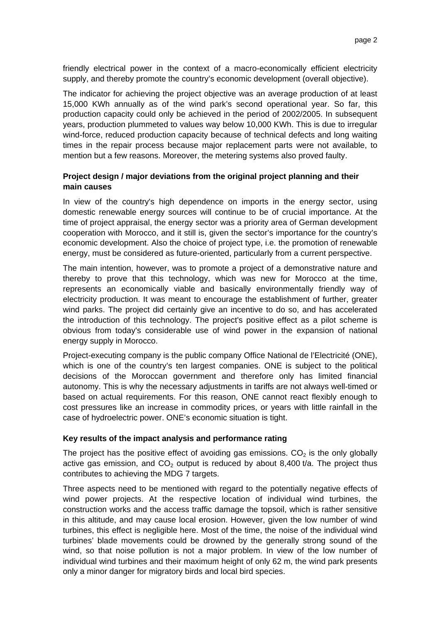friendly electrical power in the context of a macro-economically efficient electricity supply, and thereby promote the country's economic development (overall objective).

The indicator for achieving the project objective was an average production of at least 15,000 KWh annually as of the wind park's second operational year. So far, this production capacity could only be achieved in the period of 2002/2005. In subsequent years, production plummeted to values way below 10,000 KWh. This is due to irregular wind-force, reduced production capacity because of technical defects and long waiting times in the repair process because major replacement parts were not available, to mention but a few reasons. Moreover, the metering systems also proved faulty.

# **Project design / major deviations from the original project planning and their main causes**

In view of the country's high dependence on imports in the energy sector, using domestic renewable energy sources will continue to be of crucial importance. At the time of project appraisal, the energy sector was a priority area of German development cooperation with Morocco, and it still is, given the sector's importance for the country's economic development. Also the choice of project type, i.e. the promotion of renewable energy, must be considered as future-oriented, particularly from a current perspective.

The main intention, however, was to promote a project of a demonstrative nature and thereby to prove that this technology, which was new for Morocco at the time, represents an economically viable and basically environmentally friendly way of electricity production. It was meant to encourage the establishment of further, greater wind parks. The project did certainly give an incentive to do so, and has accelerated the introduction of this technology. The project's positive effect as a pilot scheme is obvious from today's considerable use of wind power in the expansion of national energy supply in Morocco.

Project-executing company is the public company Office National de l'Electricité (ONE), which is one of the country's ten largest companies. ONE is subject to the political decisions of the Moroccan government and therefore only has limited financial autonomy. This is why the necessary adjustments in tariffs are not always well-timed or based on actual requirements. For this reason, ONE cannot react flexibly enough to cost pressures like an increase in commodity prices, or years with little rainfall in the case of hydroelectric power. ONE's economic situation is tight.

#### **Key results of the impact analysis and performance rating**

The project has the positive effect of avoiding gas emissions.  $CO<sub>2</sub>$  is the only globally active gas emission, and  $CO<sub>2</sub>$  output is reduced by about 8,400 t/a. The project thus contributes to achieving the MDG 7 targets.

Three aspects need to be mentioned with regard to the potentially negative effects of wind power projects. At the respective location of individual wind turbines, the construction works and the access traffic damage the topsoil, which is rather sensitive in this altitude, and may cause local erosion. However, given the low number of wind turbines, this effect is negligible here. Most of the time, the noise of the individual wind turbines' blade movements could be drowned by the generally strong sound of the wind, so that noise pollution is not a major problem. In view of the low number of individual wind turbines and their maximum height of only 62 m, the wind park presents only a minor danger for migratory birds and local bird species.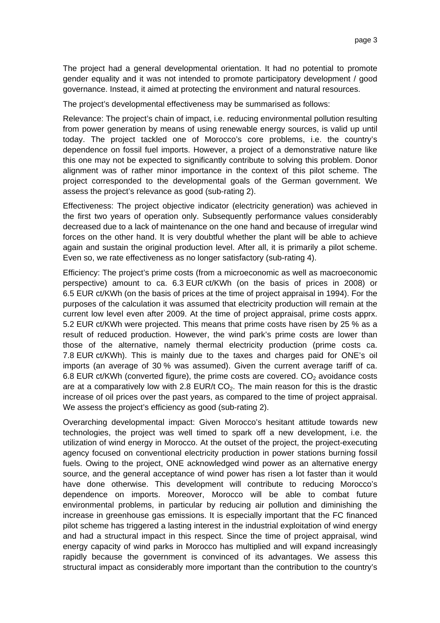The project had a general developmental orientation. It had no potential to promote gender equality and it was not intended to promote participatory development / good governance. Instead, it aimed at protecting the environment and natural resources.

The project's developmental effectiveness may be summarised as follows:

Relevance: The project's chain of impact, i.e. reducing environmental pollution resulting from power generation by means of using renewable energy sources, is valid up until today. The project tackled one of Morocco's core problems, i.e. the country's dependence on fossil fuel imports. However, a project of a demonstrative nature like this one may not be expected to significantly contribute to solving this problem. Donor alignment was of rather minor importance in the context of this pilot scheme. The project corresponded to the developmental goals of the German government. We assess the project's relevance as good (sub-rating 2).

Effectiveness: The project objective indicator (electricity generation) was achieved in the first two years of operation only. Subsequently performance values considerably decreased due to a lack of maintenance on the one hand and because of irregular wind forces on the other hand. It is very doubtful whether the plant will be able to achieve again and sustain the original production level. After all, it is primarily a pilot scheme. Even so, we rate effectiveness as no longer satisfactory (sub-rating 4).

Efficiency: The project's prime costs (from a microeconomic as well as macroeconomic perspective) amount to ca. 6.3 EUR ct/KWh (on the basis of prices in 2008) or 6.5 EUR ct/KWh (on the basis of prices at the time of project appraisal in 1994). For the purposes of the calculation it was assumed that electricity production will remain at the current low level even after 2009. At the time of project appraisal, prime costs apprx. 5.2 EUR ct/KWh were projected. This means that prime costs have risen by 25 % as a result of reduced production. However, the wind park's prime costs are lower than those of the alternative, namely thermal electricity production (prime costs ca. 7.8 EUR ct/KWh). This is mainly due to the taxes and charges paid for ONE's oil imports (an average of 30 % was assumed). Given the current average tariff of ca. 6.8 EUR ct/KWh (converted figure), the prime costs are covered.  $CO<sub>2</sub>$  avoidance costs are at a comparatively low with 2.8 EUR/t  $CO<sub>2</sub>$ . The main reason for this is the drastic increase of oil prices over the past years, as compared to the time of project appraisal. We assess the project's efficiency as good (sub-rating 2).

Overarching developmental impact: Given Morocco's hesitant attitude towards new technologies, the project was well timed to spark off a new development, i.e. the utilization of wind energy in Morocco. At the outset of the project, the project-executing agency focused on conventional electricity production in power stations burning fossil fuels. Owing to the project, ONE acknowledged wind power as an alternative energy source, and the general acceptance of wind power has risen a lot faster than it would have done otherwise. This development will contribute to reducing Morocco's dependence on imports. Moreover, Morocco will be able to combat future environmental problems, in particular by reducing air pollution and diminishing the increase in greenhouse gas emissions. It is especially important that the FC financed pilot scheme has triggered a lasting interest in the industrial exploitation of wind energy and had a structural impact in this respect. Since the time of project appraisal, wind energy capacity of wind parks in Morocco has multiplied and will expand increasingly rapidly because the government is convinced of its advantages. We assess this structural impact as considerably more important than the contribution to the country's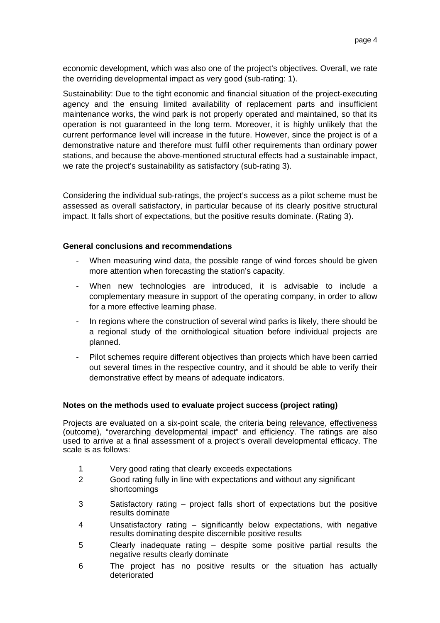economic development, which was also one of the project's objectives. Overall, we rate the overriding developmental impact as very good (sub-rating: 1).

Sustainability: Due to the tight economic and financial situation of the project-executing agency and the ensuing limited availability of replacement parts and insufficient maintenance works, the wind park is not properly operated and maintained, so that its operation is not guaranteed in the long term. Moreover, it is highly unlikely that the current performance level will increase in the future. However, since the project is of a demonstrative nature and therefore must fulfil other requirements than ordinary power stations, and because the above-mentioned structural effects had a sustainable impact, we rate the project's sustainability as satisfactory (sub-rating 3).

Considering the individual sub-ratings, the project's success as a pilot scheme must be assessed as overall satisfactory, in particular because of its clearly positive structural impact. It falls short of expectations, but the positive results dominate. (Rating 3).

## **General conclusions and recommendations**

- When measuring wind data, the possible range of wind forces should be given more attention when forecasting the station's capacity.
- When new technologies are introduced, it is advisable to include a complementary measure in support of the operating company, in order to allow for a more effective learning phase.
- In regions where the construction of several wind parks is likely, there should be a regional study of the ornithological situation before individual projects are planned.
- Pilot schemes require different objectives than projects which have been carried out several times in the respective country, and it should be able to verify their demonstrative effect by means of adequate indicators.

#### **Notes on the methods used to evaluate project success (project rating)**

Projects are evaluated on a six-point scale, the criteria being relevance, effectiveness (outcome), "overarching developmental impact" and efficiency. The ratings are also used to arrive at a final assessment of a project's overall developmental efficacy. The scale is as follows:

- 1 Very good rating that clearly exceeds expectations
- 2 Good rating fully in line with expectations and without any significant shortcomings
- 3 Satisfactory rating project falls short of expectations but the positive results dominate
- 4 Unsatisfactory rating significantly below expectations, with negative results dominating despite discernible positive results
- 5 Clearly inadequate rating despite some positive partial results the negative results clearly dominate
- 6 The project has no positive results or the situation has actually deteriorated